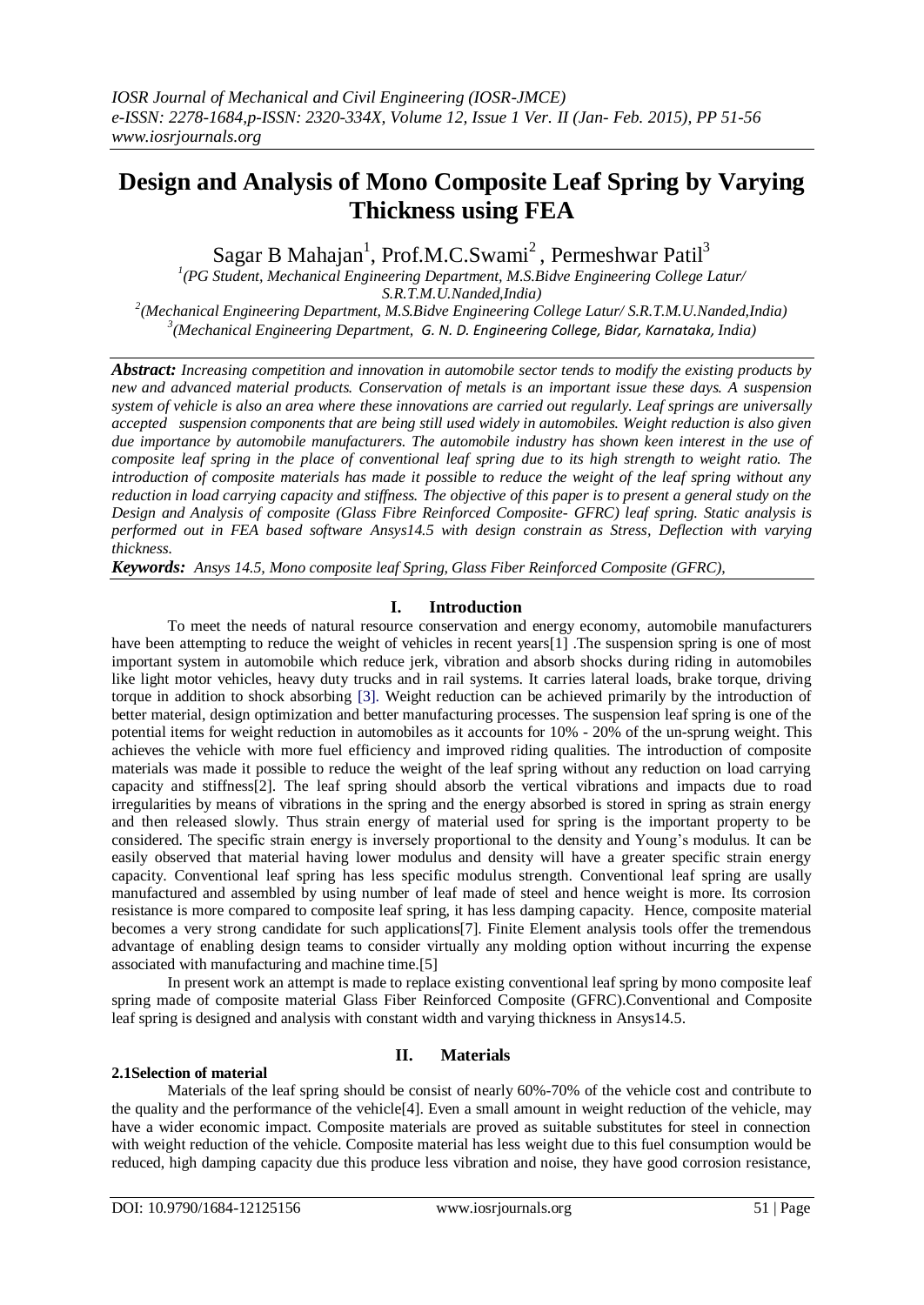# **Design and Analysis of Mono Composite Leaf Spring by Varying Thickness using FEA**

Sagar B Mahajan<sup>1</sup>, Prof.M.C.Swami<sup>2</sup>, Permeshwar Patil<sup>3</sup>

*1 (PG Student, Mechanical Engineering Department, M.S.Bidve Engineering College Latur/ S.R.T.M.U.Nanded,India)*

*2 (Mechanical Engineering Department, M.S.Bidve Engineering College Latur/ S.R.T.M.U.Nanded,India) 3 (Mechanical Engineering Department, G. N. D. Engineering College, Bidar, Karnataka, India)*

*Abstract: Increasing competition and innovation in automobile sector tends to modify the existing products by new and advanced material products. Conservation of metals is an important issue these days. A suspension system of vehicle is also an area where these innovations are carried out regularly. Leaf springs are universally accepted suspension components that are being still used widely in automobiles. Weight reduction is also given due importance by automobile manufacturers. The automobile industry has shown keen interest in the use of composite leaf spring in the place of conventional leaf spring due to its high strength to weight ratio. The introduction of composite materials has made it possible to reduce the weight of the leaf spring without any reduction in load carrying capacity and stiffness. The objective of this paper is to present a general study on the Design and Analysis of composite (Glass Fibre Reinforced Composite- GFRC) leaf spring. Static analysis is performed out in FEA based software Ansys14.5 with design constrain as Stress, Deflection with varying thickness.*

*Keywords: Ansys 14.5, Mono composite leaf Spring, Glass Fiber Reinforced Composite (GFRC),*

## **I. Introduction**

To meet the needs of natural resource conservation and energy economy, automobile manufacturers have been attempting to reduce the weight of vehicles in recent years[1]. The suspension spring is one of most important system in automobile which reduce jerk, vibration and absorb shocks during riding in automobiles like light motor vehicles, heavy duty trucks and in rail systems. It carries lateral loads, brake torque, driving torque in addition to shock absorbing [3]. Weight reduction can be achieved primarily by the introduction of better material, design optimization and better manufacturing processes. The suspension leaf spring is one of the potential items for weight reduction in automobiles as it accounts for 10% - 20% of the un-sprung weight. This achieves the vehicle with more fuel efficiency and improved riding qualities. The introduction of composite materials was made it possible to reduce the weight of the leaf spring without any reduction on load carrying capacity and stiffness[2]. The leaf spring should absorb the vertical vibrations and impacts due to road irregularities by means of vibrations in the spring and the energy absorbed is stored in spring as strain energy and then released slowly. Thus strain energy of material used for spring is the important property to be considered. The specific strain energy is inversely proportional to the density and Young's modulus. It can be easily observed that material having lower modulus and density will have a greater specific strain energy capacity. Conventional leaf spring has less specific modulus strength. Conventional leaf spring are usally manufactured and assembled by using number of leaf made of steel and hence weight is more. Its corrosion resistance is more compared to composite leaf spring, it has less damping capacity. Hence, composite material becomes a very strong candidate for such applications[7]. Finite Element analysis tools offer the tremendous advantage of enabling design teams to consider virtually any molding option without incurring the expense associated with manufacturing and machine time.[5]

In present work an attempt is made to replace existing conventional leaf spring by mono composite leaf spring made of composite material Glass Fiber Reinforced Composite (GFRC).Conventional and Composite leaf spring is designed and analysis with constant width and varying thickness in Ansys14.5.

# **II. Materials**

## **2.1Selection of material**

Materials of the leaf spring should be consist of nearly 60%-70% of the vehicle cost and contribute to the quality and the performance of the vehicle[4]. Even a small amount in weight reduction of the vehicle, may have a wider economic impact. Composite materials are proved as suitable substitutes for steel in connection with weight reduction of the vehicle. Composite material has less weight due to this fuel consumption would be reduced, high damping capacity due this produce less vibration and noise, they have good corrosion resistance,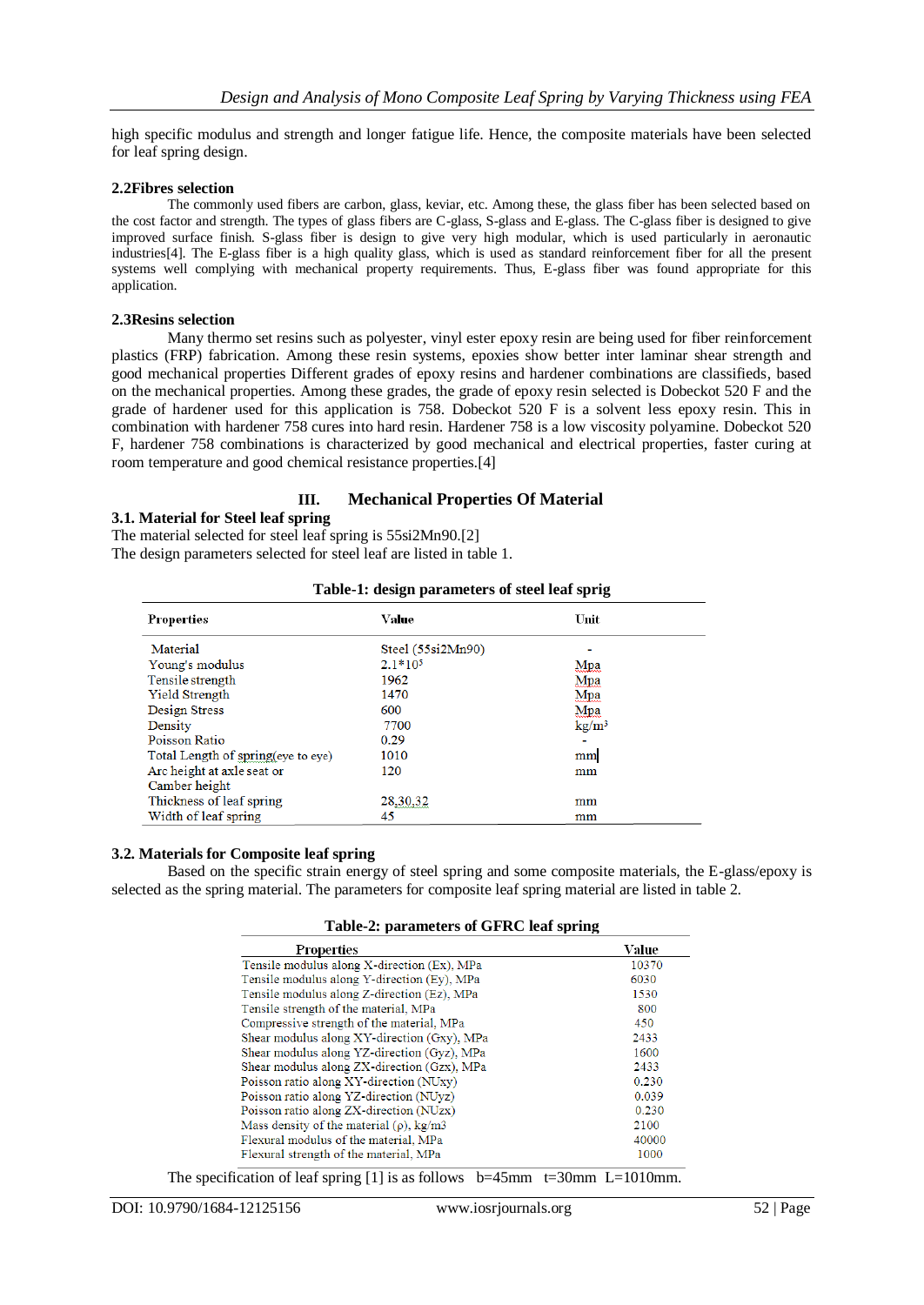high specific modulus and strength and longer fatigue life. Hence, the composite materials have been selected for leaf spring design.

#### **2.2Fibres selection**

The commonly used fibers are carbon, glass, keviar, etc. Among these, the glass fiber has been selected based on the cost factor and strength. The types of glass fibers are C-glass, S-glass and E-glass. The C-glass fiber is designed to give improved surface finish. S-glass fiber is design to give very high modular, which is used particularly in aeronautic industries[4]. The E-glass fiber is a high quality glass, which is used as standard reinforcement fiber for all the present systems well complying with mechanical property requirements. Thus, E-glass fiber was found appropriate for this application.

#### **2.3Resins selection**

Many thermo set resins such as polyester, vinyl ester epoxy resin are being used for fiber reinforcement plastics (FRP) fabrication. Among these resin systems, epoxies show better inter laminar shear strength and good mechanical properties Different grades of epoxy resins and hardener combinations are classifieds, based on the mechanical properties. Among these grades, the grade of epoxy resin selected is Dobeckot 520 F and the grade of hardener used for this application is 758. Dobeckot 520 F is a solvent less epoxy resin. This in combination with hardener 758 cures into hard resin. Hardener 758 is a low viscosity polyamine. Dobeckot 520 F, hardener 758 combinations is characterized by good mechanical and electrical properties, faster curing at room temperature and good chemical resistance properties.[4]

## **III. Mechanical Properties Of Material**

## **3.1. Material for Steel leaf spring**

The material selected for steel leaf spring is 55si2Mn90.[2]

The design parameters selected for steel leaf are listed in table 1.

| <b>Properties</b>                  | Value             | Unit              |
|------------------------------------|-------------------|-------------------|
| Material                           | Steel (55si2Mn90) |                   |
| Young's modulus                    | $2.1*105$         | Mpa               |
| Tensile strength                   | 1962              | Mpa               |
| <b>Yield Strength</b>              | 1470              | Mpa               |
| Design Stress                      | 600               | Mpa               |
| Density                            | 7700              | kg/m <sup>3</sup> |
| Poisson Ratio                      | 0.29              |                   |
| Total Length of spring(eye to eye) | 1010              | mm                |
| Arc height at axle seat or         | 120               | mm                |
| Camber height                      |                   |                   |
| Thickness of leaf spring           | 28,30,32          | mm                |
| Width of leaf spring               | 45                | mm                |

# **Table-1: design parameters of steel leaf sprig**

## **3.2. Materials for Composite leaf spring**

Based on the specific strain energy of steel spring and some composite materials, the E-glass/epoxy is selected as the spring material. The parameters for composite leaf spring material are listed in table 2.

| Table-2: parameters of GFRC leaf spring |  |  |
|-----------------------------------------|--|--|
|-----------------------------------------|--|--|

| Properties                                    | Value |
|-----------------------------------------------|-------|
| Tensile modulus along X-direction (Ex), MPa   | 10370 |
| Tensile modulus along Y-direction (Ey), MPa   | 6030  |
| Tensile modulus along Z-direction (Ez), MPa   | 1530  |
| Tensile strength of the material, MPa         | 800   |
| Compressive strength of the material, MPa     | 450   |
| Shear modulus along XY-direction (Gxy), MPa   | 2433  |
| Shear modulus along YZ-direction (Gyz), MPa   | 1600  |
| Shear modulus along ZX-direction (Gzx), MPa   | 2433  |
| Poisson ratio along XY-direction (NUxy)       | 0.230 |
| Poisson ratio along YZ-direction (NUyz)       | 0.039 |
| Poisson ratio along ZX-direction (NUzx)       | 0.230 |
| Mass density of the material $(\rho)$ , kg/m3 | 2100  |
| Flexural modulus of the material, MPa         | 40000 |
| Flexural strength of the material, MPa        | 1000  |

The specification of leaf spring [1] is as follows  $b=45$ mm t=30mm L=1010mm.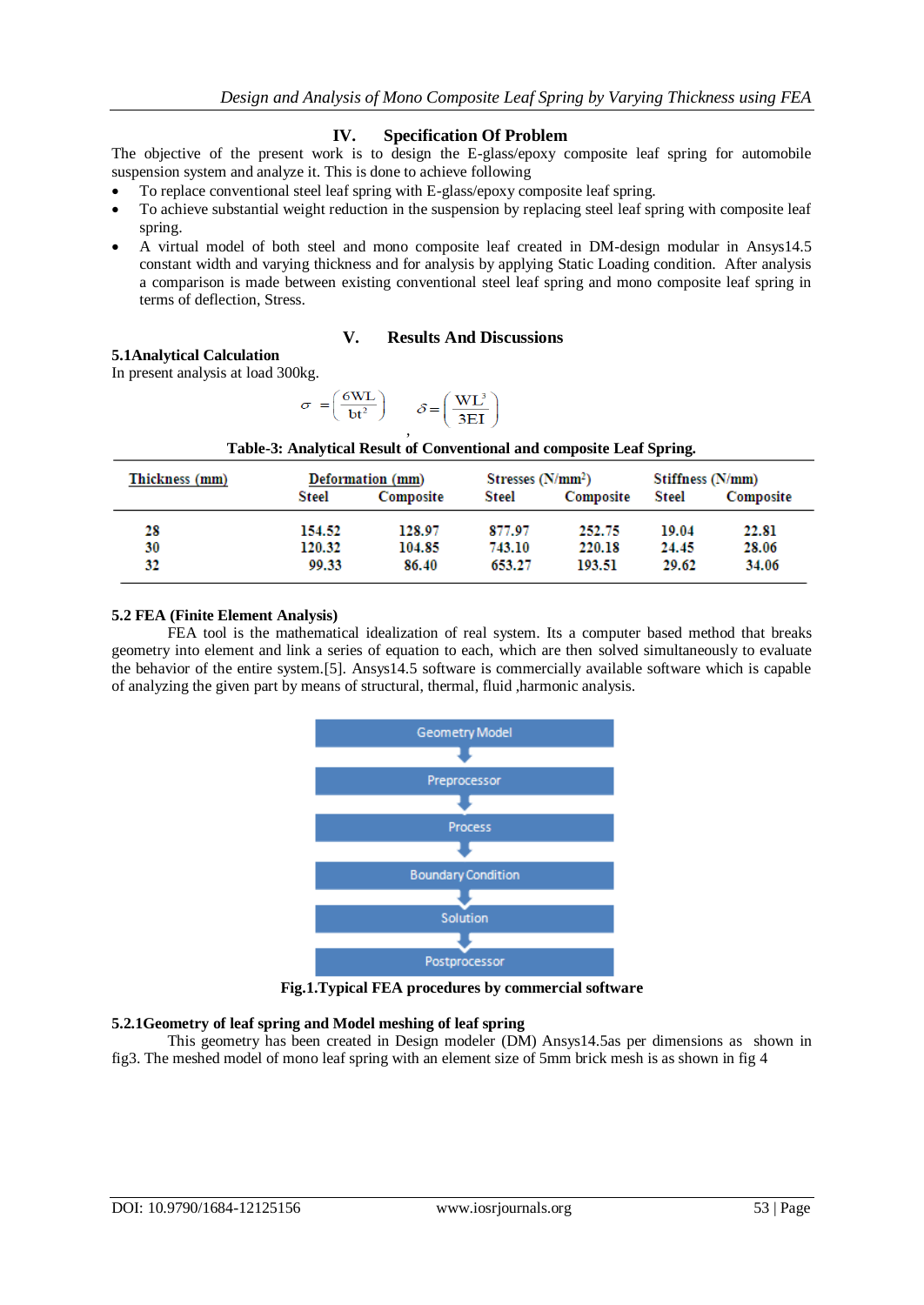## **IV. Specification Of Problem**

The objective of the present work is to design the E-glass/epoxy composite leaf spring for automobile suspension system and analyze it. This is done to achieve following

- To replace conventional steel leaf spring with E-glass/epoxy composite leaf spring.
- To achieve substantial weight reduction in the suspension by replacing steel leaf spring with composite leaf spring.
- A virtual model of both steel and mono composite leaf created in DM-design modular in Ansys14.5 constant width and varying thickness and for analysis by applying Static Loading condition. After analysis a comparison is made between existing conventional steel leaf spring and mono composite leaf spring in terms of deflection, Stress.

## **V. Results And Discussions**

## **5.1Analytical Calculation**

In present analysis at load 300kg.

$$
\sigma = \left(\frac{6\text{WL}}{\text{bt}^2}\right) \qquad \mathcal{S} = \left(\frac{\text{WL}^3}{3\text{EI}}\right)
$$

| Thickness (mm) |        | Deformation (mm) |        | Stresses $(N/mm^2)$<br>Stiffness (N/mm) |              |           |
|----------------|--------|------------------|--------|-----------------------------------------|--------------|-----------|
|                | Steel  | Composite        | Steel  | Composite                               | <b>Steel</b> | Composite |
| 28             | 154.52 | 128.97           | 877.97 | 252.75                                  | 19.04        | 22.81     |
| 30             | 120.32 | 104.85           | 743.10 | 220.18                                  | 24.45        | 28.06     |
| 32             | 99.33  | 86.40            | 653.27 | 193.51                                  | 29.62        | 34.06     |

| Table-3: Analytical Result of Conventional and composite Leaf Spring. |  |
|-----------------------------------------------------------------------|--|
|-----------------------------------------------------------------------|--|

## **5.2 FEA (Finite Element Analysis)**

FEA tool is the mathematical idealization of real system. Its a computer based method that breaks geometry into element and link a series of equation to each, which are then solved simultaneously to evaluate the behavior of the entire system.[5]. Ansys14.5 software is commercially available software which is capable of analyzing the given part by means of structural, thermal, fluid ,harmonic analysis.



**Fig.1.Typical FEA procedures by commercial software**

## **5.2.1Geometry of leaf spring and Model meshing of leaf spring**

This geometry has been created in Design modeler (DM) Ansys14.5as per dimensions as shown in fig3. The meshed model of mono leaf spring with an element size of 5mm brick mesh is as shown in fig 4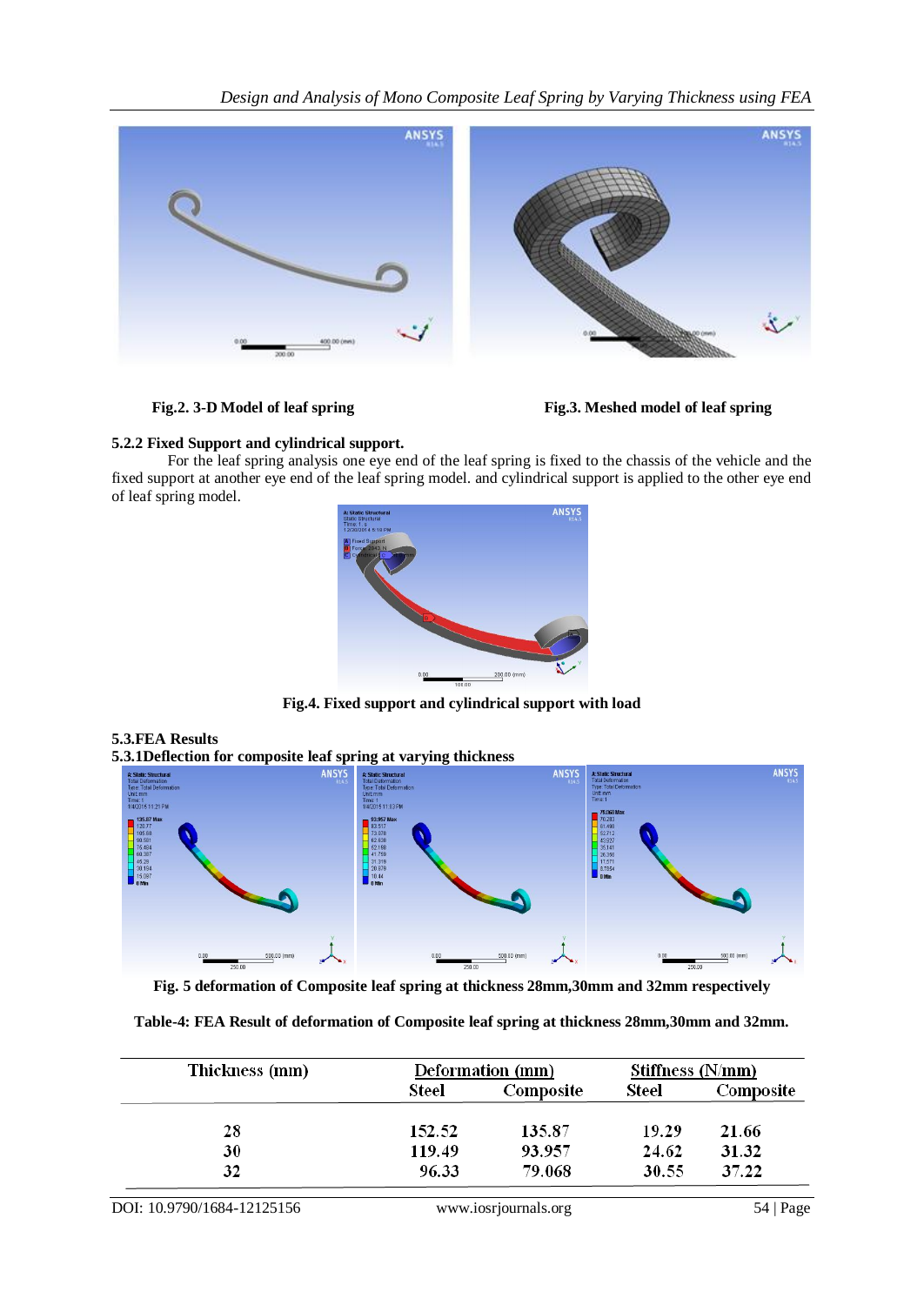*Design and Analysis of Mono Composite Leaf Spring by Varying Thickness using FEA*





**Fig.2. 3-D Model of leaf spring Fig.3. Meshed model of leaf spring**

# **5.2.2 Fixed Support and cylindrical support.**

For the leaf spring analysis one eye end of the leaf spring is fixed to the chassis of the vehicle and the fixed support at another eye end of the leaf spring model. and cylindrical support is applied to the other eye end of leaf spring model.



**Fig.4. Fixed support and cylindrical support with load**

# **5.3.FEA Results**

**5.3.1Deflection for composite leaf spring at varying thickness**



**Fig. 5 deformation of Composite leaf spring at thickness 28mm,30mm and 32mm respectively**

**Table-4: FEA Result of deformation of Composite leaf spring at thickness 28mm,30mm and 32mm.**

| Thickness (mm) | Deformation (mm)<br>Stiffness (N/mm) |           |       |           |
|----------------|--------------------------------------|-----------|-------|-----------|
|                | Steel                                | Composite | Steel | Composite |
| 28             | 152.52                               | 135.87    | 19.29 | 21.66     |
| 30             | 119.49                               | 93.957    | 24.62 | 31.32     |
| 32             | 96.33                                | 79.068    | 30.55 | 37.22     |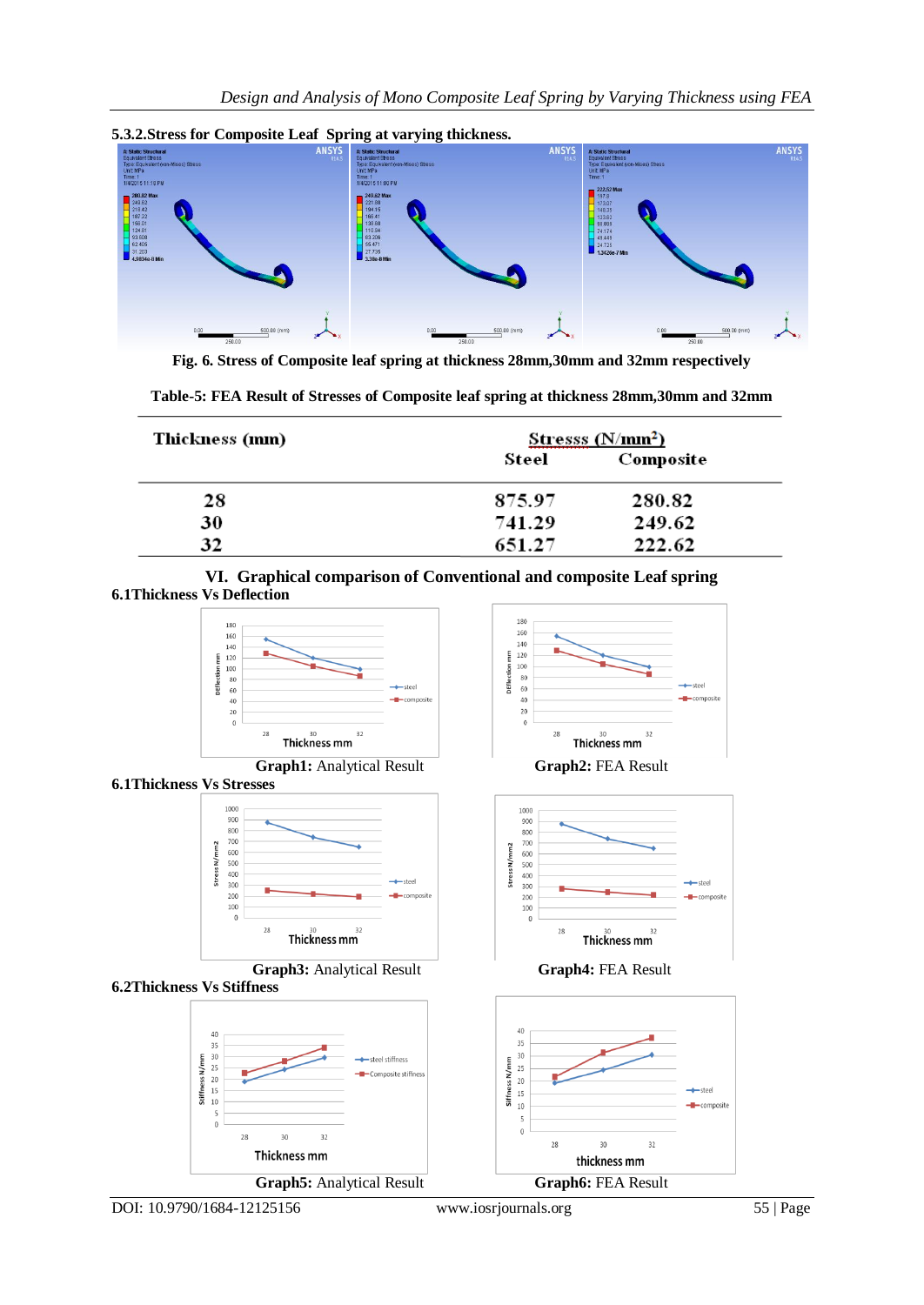

**5.3.2.Stress for Composite Leaf Spring at varying thickness.**

**Fig. 6. Stress of Composite leaf spring at thickness 28mm,30mm and 32mm respectively**

| Table-5: FEA Result of Stresses of Composite leaf spring at thickness 28mm, 30mm and 32mm |  |  |
|-------------------------------------------------------------------------------------------|--|--|
|-------------------------------------------------------------------------------------------|--|--|

| Thickness (mm) | Stresss (N/mm <sup>2</sup> ) |           |  |
|----------------|------------------------------|-----------|--|
|                | Steel                        | Composite |  |
| 28             | 875.97                       | 280.82    |  |
| 30             | 741.29                       | 249.62    |  |
| 32             | 651.27                       | 222.62    |  |

**VI. Graphical comparison of Conventional and composite Leaf spring 6.1Thickness Vs Deflection**